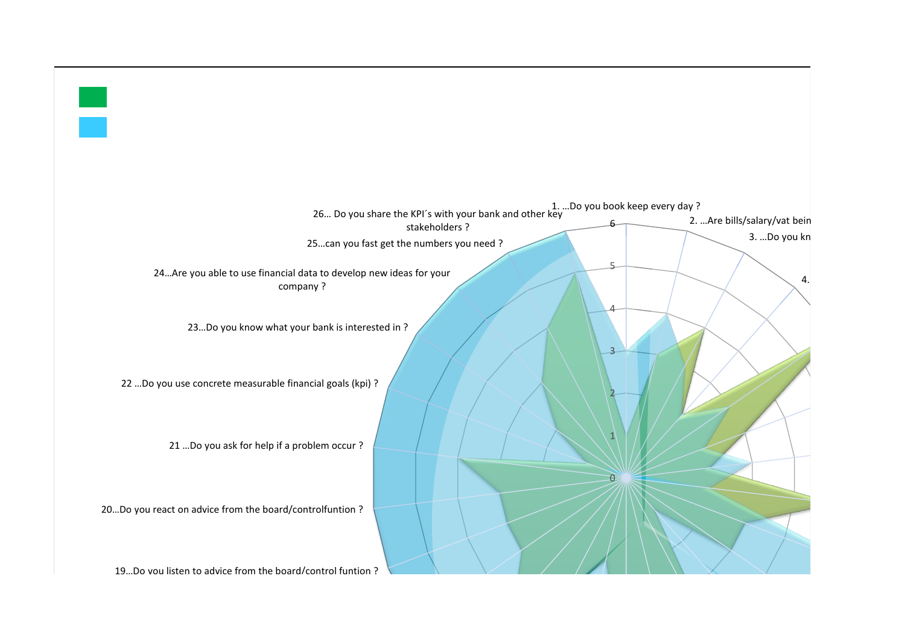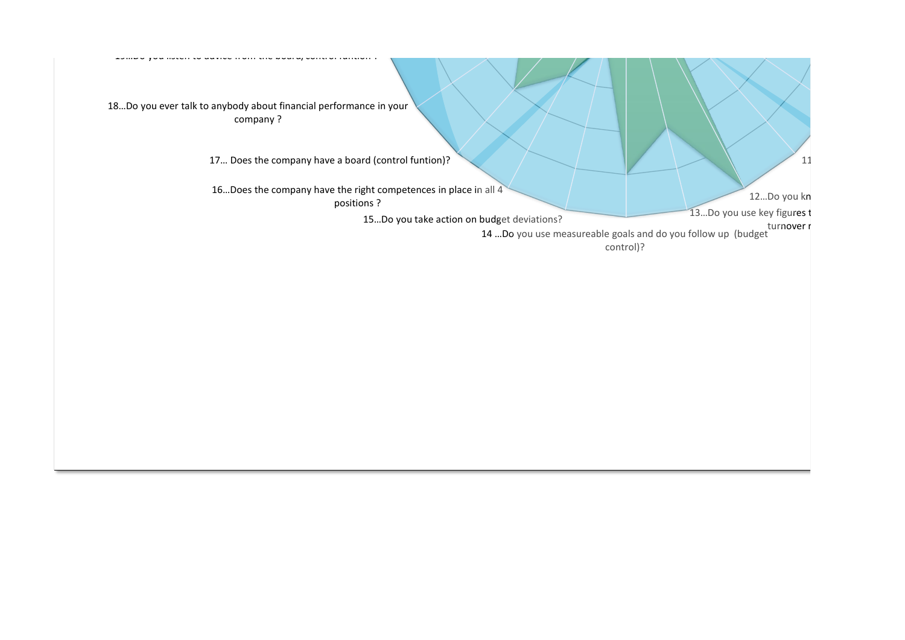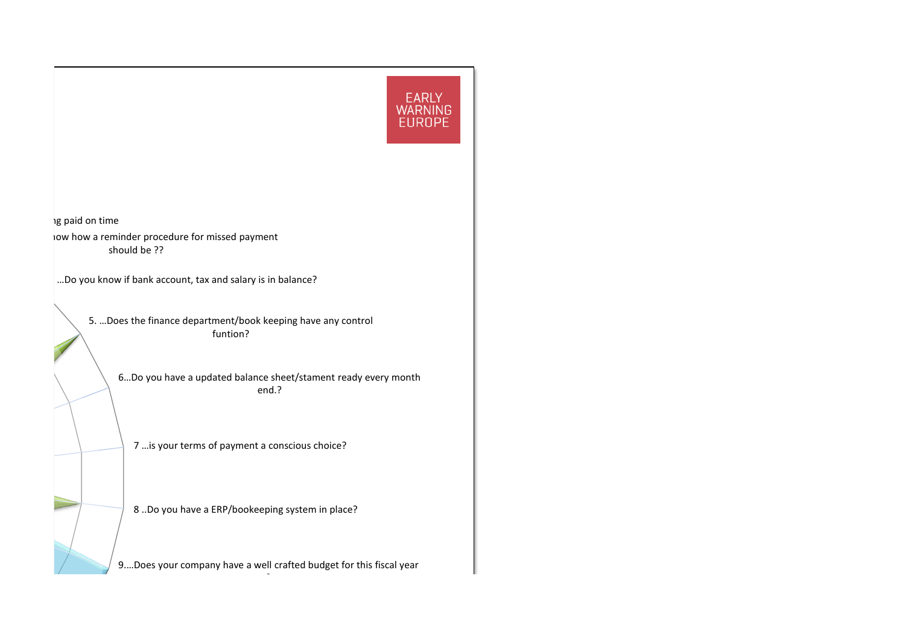

ng paid on time 10w how a reminder procedure for missed payment should be ??

4. …Do you know if bank account, tax and salary is in balance?

5. …Does the finance department/book keeping have any control funtion?

> 6…Do you have a updated balance sheet/stament ready every month end.?

7 …is your terms of payment a conscious choice?

8 ..Do you have a ERP/bookeeping system in place?

9.…Does your company have a well crafted budget for this fiscal year